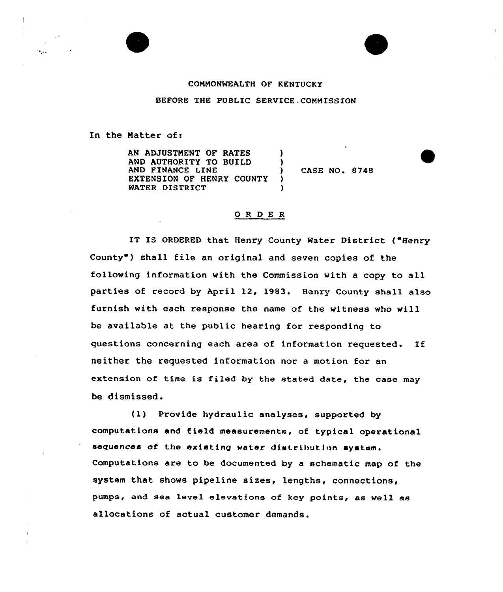

## COMMONWEALTH OF KENTUCKY

BEFORE THE PUBLIC SERVICE COMMISSION

In the Matter of:

AN ADJUSTMENT OF RATES AND AUTHORITY TO BUILD AND FINANCE LINE EXTENSION OF HENRY COUNTY WATER DISTRICT

) CASE NO. &748

## ORDER

) )

) )

IT IS ORDERED that Henry County Water District ( "Henry County") shall file an original and seven copies of the following information with the Commission with a copy to all parties of record by April 12, 1983. Henry County shall also furnish with each response the name of the witness who will be available at the public hearing for responding to questions concerning each area of information requested. If neither the requested information nor a motion for an extension of time is filed by the stated date, the case may be dismissed.

(1) Provide hydraulic analyses, supported by computations and field measurements, of typical operational sequences of the existing water distribution system. Computations are to be documented by a schematic map of the system that shows pipeline sizes, lengths, connections, pumps, and sea level elevations of key points, as well as allocations of actual customer demands.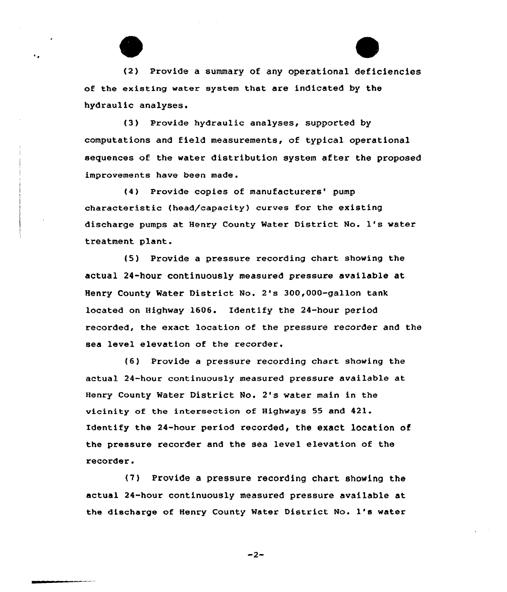(2) Provide a summary of any operational deficiencies of the existing water system that are indicated by the hydraulic analyses.

٠.

f3) Provide hydraulic analyses, supported by computations and field measurements, of typical operational sequences of the water distribution system after the proposed improvements have been made.

(4) Provide copies of manufacturers' pump characteristic (head/capacity) curves for the existing discharge pumps at Henry County Water District No. 1's water treatment plant.

(5) Provide a pressure recording chart showing the actual 24-hour continuously measured pressure available at Henry County Water District No. 2's 300,000-gallon tank located on Highway 1606. Identify the 24-hour period recorded, the exact location of the pressure recorder and the sea level elevation of the recorder.

 $(6)$  Provide a pressure recording chart showing the actual 24-hour continuously measured pressure available at Henry County Water District No. 2's water main in the vicinity of the intersection of Highways 55 and 421. Identify the 24-hour period recorded, the exact location of the pressure recorder and the sea level elevation of the recorder.

(7) Provide a pressure recording chart showing the actual 24-hour continuously measured pressure available at the discharge of Henry County Water District No. 1's water

 $-2-$